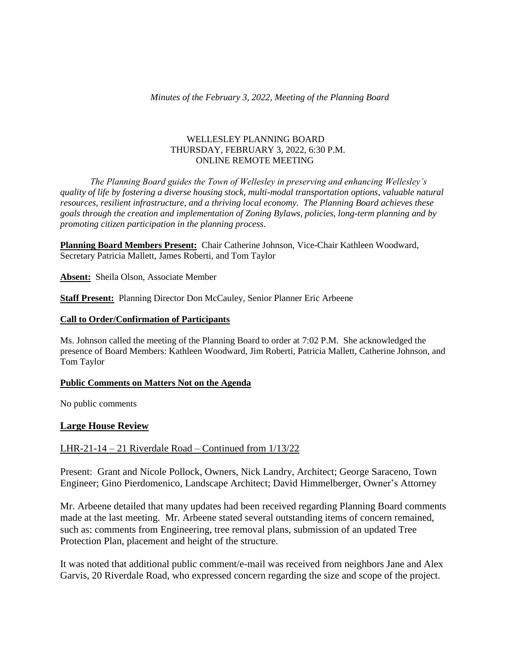### WELLESLEY PLANNING BOARD THURSDAY, FEBRUARY 3, 2022, 6:30 P.M. ONLINE REMOTE MEETING

*The Planning Board guides the Town of Wellesley in preserving and enhancing Wellesley's quality of life by fostering a diverse housing stock, multi-modal transportation options, valuable natural resources, resilient infrastructure, and a thriving local economy. The Planning Board achieves these goals through the creation and implementation of Zoning Bylaws, policies, long-term planning and by promoting citizen participation in the planning process.*

**Planning Board Members Present:** Chair Catherine Johnson, Vice-Chair Kathleen Woodward, Secretary Patricia Mallett, James Roberti, and Tom Taylor

**Absent:** Sheila Olson, Associate Member

**Staff Present:** Planning Director Don McCauley, Senior Planner Eric Arbeene

#### **Call to Order/Confirmation of Participants**

Ms. Johnson called the meeting of the Planning Board to order at 7:02 P.M. She acknowledged the presence of Board Members: Kathleen Woodward, Jim Roberti, Patricia Mallett, Catherine Johnson, and Tom Taylor

#### **Public Comments on Matters Not on the Agenda**

No public comments

### **Large House Review**

### LHR-21-14 – 21 Riverdale Road – Continued from 1/13/22

Present: Grant and Nicole Pollock, Owners, Nick Landry, Architect; George Saraceno, Town Engineer; Gino Pierdomenico, Landscape Architect; David Himmelberger, Owner's Attorney

Mr. Arbeene detailed that many updates had been received regarding Planning Board comments made at the last meeting. Mr. Arbeene stated several outstanding items of concern remained, such as: comments from Engineering, tree removal plans, submission of an updated Tree Protection Plan, placement and height of the structure.

It was noted that additional public comment/e-mail was received from neighbors Jane and Alex Garvis, 20 Riverdale Road, who expressed concern regarding the size and scope of the project.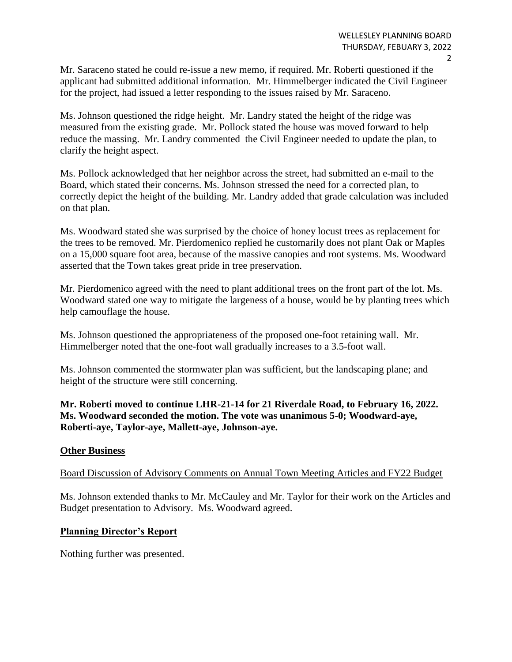Mr. Saraceno stated he could re-issue a new memo, if required. Mr. Roberti questioned if the applicant had submitted additional information. Mr. Himmelberger indicated the Civil Engineer for the project, had issued a letter responding to the issues raised by Mr. Saraceno.

Ms. Johnson questioned the ridge height. Mr. Landry stated the height of the ridge was measured from the existing grade. Mr. Pollock stated the house was moved forward to help reduce the massing. Mr. Landry commented the Civil Engineer needed to update the plan, to clarify the height aspect.

Ms. Pollock acknowledged that her neighbor across the street, had submitted an e-mail to the Board, which stated their concerns. Ms. Johnson stressed the need for a corrected plan, to correctly depict the height of the building. Mr. Landry added that grade calculation was included on that plan.

Ms. Woodward stated she was surprised by the choice of honey locust trees as replacement for the trees to be removed. Mr. Pierdomenico replied he customarily does not plant Oak or Maples on a 15,000 square foot area, because of the massive canopies and root systems. Ms. Woodward asserted that the Town takes great pride in tree preservation.

Mr. Pierdomenico agreed with the need to plant additional trees on the front part of the lot. Ms. Woodward stated one way to mitigate the largeness of a house, would be by planting trees which help camouflage the house.

Ms. Johnson questioned the appropriateness of the proposed one-foot retaining wall. Mr. Himmelberger noted that the one-foot wall gradually increases to a 3.5-foot wall.

Ms. Johnson commented the stormwater plan was sufficient, but the landscaping plane; and height of the structure were still concerning.

**Mr. Roberti moved to continue LHR-21-14 for 21 Riverdale Road, to February 16, 2022. Ms. Woodward seconded the motion. The vote was unanimous 5-0; Woodward-aye, Roberti-aye, Taylor-aye, Mallett-aye, Johnson-aye.**

## **Other Business**

# Board Discussion of Advisory Comments on Annual Town Meeting Articles and FY22 Budget

Ms. Johnson extended thanks to Mr. McCauley and Mr. Taylor for their work on the Articles and Budget presentation to Advisory. Ms. Woodward agreed.

## **Planning Director's Report**

Nothing further was presented.